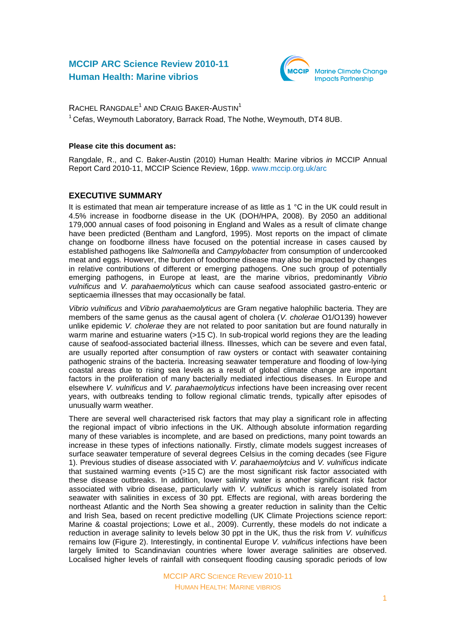# **MCCIP ARC Science Review 2010-11 Human Health: Marine vibrios**



RACHEL RANGDALE<sup>1</sup> AND CRAIG BAKER-AUSTIN<sup>1</sup>

 $1$  Cefas, Weymouth Laboratory, Barrack Road, The Nothe, Weymouth, DT4 8UB.

### **Please cite this document as:**

Rangdale, R., and C. Baker-Austin (2010) Human Health: Marine vibrios *in* MCCIP Annual Report Card 2010-11, MCCIP Science Review, 16pp. [www.mccip.org.uk/arc](http://www.mccip.org.uk/arc)

# **EXECUTIVE SUMMARY**

It is estimated that mean air temperature increase of as little as 1 °C in the UK could result in 4.5% increase in foodborne disease in the UK (DOH/HPA, 2008). By 2050 an additional 179,000 annual cases of food poisoning in England and Wales as a result of climate change have been predicted (Bentham and Langford, 1995). Most reports on the impact of climate change on foodborne illness have focused on the potential increase in cases caused by established pathogens like *Salmonella* and *Campylobacter* from consumption of undercooked meat and eggs*.* However, the burden of foodborne disease may also be impacted by changes in relative contributions of different or emerging pathogens. One such group of potentially emerging pathogens, in Europe at least, are the marine vibrios, predominantly *Vibrio vulnificus* and *V. parahaemolyticus* which can cause seafood associated gastro-enteric or septicaemia illnesses that may occasionally be fatal.

*Vibrio vulnificus* and *Vibrio parahaemolyticus* are Gram negative halophilic bacteria. They are members of the same genus as the causal agent of cholera (*V. cholerae* O1/O139) however unlike epidemic *V. cholerae* they are not related to poor sanitation but are found naturally in warm marine and estuarine waters (>15 C). In sub-tropical world regions they are the leading cause of seafood-associated bacterial illness. Illnesses, which can be severe and even fatal, are usually reported after consumption of raw oysters or contact with seawater containing pathogenic strains of the bacteria. Increasing seawater temperature and flooding of low-lying coastal areas due to rising sea levels as a result of global climate change are important factors in the proliferation of many bacterially mediated infectious diseases. In Europe and elsewhere *V. vulnificus* and *V. parahaemolyticus* infections have been increasing over recent years, with outbreaks tending to follow regional climatic trends, typically after episodes of unusually warm weather.

There are several well characterised risk factors that may play a significant role in affecting the regional impact of vibrio infections in the UK. Although absolute information regarding many of these variables is incomplete, and are based on predictions, many point towards an increase in these types of infections nationally. Firstly, climate models suggest increases of surface seawater temperature of several degrees Celsius in the coming decades (see Figure 1). Previous studies of disease associated with *V. parahaemolytcius* and *V. vulnificus* indicate that sustained warming events (>15 C) are the most significant risk factor associated with these disease outbreaks. In addition, lower salinity water is another significant risk factor associated with vibrio disease, particularly with *V. vulnificus* which is rarely isolated from seawater with salinities in excess of 30 ppt. Effects are regional, with areas bordering the northeast Atlantic and the North Sea showing a greater reduction in salinity than the Celtic and Irish Sea, based on recent predictive modelling (UK Climate Projections science report: Marine & coastal projections; Lowe et al., 2009). Currently, these models do not indicate a reduction in average salinity to levels below 30 ppt in the UK, thus the risk from *V. vulnificus* remains low (Figure 2). Interestingly, in continental Europe *V. vulnificus* infections have been largely limited to Scandinavian countries where lower average salinities are observed. Localised higher levels of rainfall with consequent flooding causing sporadic periods of low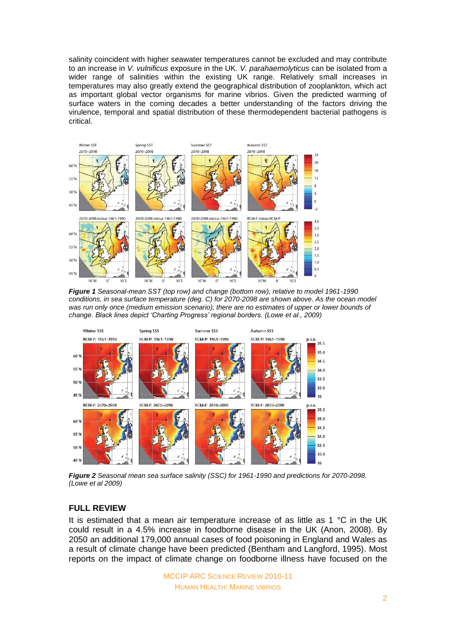salinity coincident with higher seawater temperatures cannot be excluded and may contribute to an increase in *V. vulnificus* exposure in the UK. *V. parahaemolyticus* can be isolated from a wider range of salinities within the existing UK range. Relatively small increases in temperatures may also greatly extend the geographical distribution of zooplankton, which act as important global vector organisms for marine vibrios. Given the predicted warming of surface waters in the coming decades a better understanding of the factors driving the virulence, temporal and spatial distribution of these thermodependent bacterial pathogens is critical.



*Figure 1 Seasonal-mean SST (top row) and change (bottom row), relative to model 1961-1990 conditions, in sea surface temperature (deg. C) for 2070-2098 are shown above. As the ocean model was run only once (medium emission scenario), there are no estimates of upper or lower bounds of change. Black lines depict 'Charting Progress' regional borders. (Lowe et al., 2009)*



*Figure 2 Seasonal mean sea surface salinity (SSC) for 1961-1990 and predictions for 2070-2098. (Lowe et al 2009)*

# **FULL REVIEW**

It is estimated that a mean air temperature increase of as little as 1 °C in the UK could result in a 4.5% increase in foodborne disease in the UK (Anon, 2008). By 2050 an additional 179,000 annual cases of food poisoning in England and Wales as a result of climate change have been predicted (Bentham and Langford, 1995). Most reports on the impact of climate change on foodborne illness have focused on the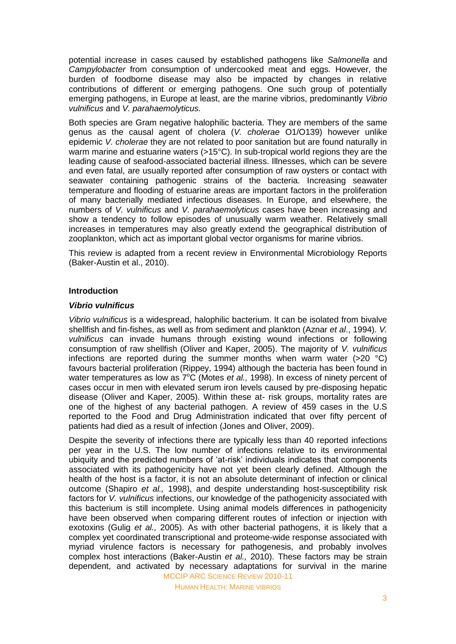potential increase in cases caused by established pathogens like *Salmonella* and *Campylobacter* from consumption of undercooked meat and eggs*.* However, the burden of foodborne disease may also be impacted by changes in relative contributions of different or emerging pathogens. One such group of potentially emerging pathogens, in Europe at least, are the marine vibrios, predominantly *Vibrio vulnificus* and *V. parahaemolyticus.*

Both species are Gram negative halophilic bacteria. They are members of the same genus as the causal agent of cholera (*V. cholerae* O1/O139) however unlike epidemic *V. cholerae* they are not related to poor sanitation but are found naturally in warm marine and estuarine waters (>15°C). In sub-tropical world regions they are the leading cause of seafood-associated bacterial illness. Illnesses, which can be severe and even fatal, are usually reported after consumption of raw oysters or contact with seawater containing pathogenic strains of the bacteria. Increasing seawater temperature and flooding of estuarine areas are important factors in the proliferation of many bacterially mediated infectious diseases. In Europe, and elsewhere, the numbers of *V. vulnificus* and *V. parahaemolyticus* cases have been increasing and show a tendency to follow episodes of unusually warm weather. Relatively small increases in temperatures may also greatly extend the geographical distribution of zooplankton, which act as important global vector organisms for marine vibrios.

This review is adapted from a recent review in Environmental Microbiology Reports (Baker-Austin et al., 2010).

### **Introduction**

### *Vibrio vulnificus*

*Vibrio vulnificus* is a widespread, halophilic bacterium. It can be isolated from bivalve shellfish and fin-fishes, as well as from sediment and plankton (Aznar *et al*., 1994). *V. vulnificus* can invade humans through existing wound infections or following consumption of raw shellfish (Oliver and Kaper, 2005). The majority of *V. vulnificus* infections are reported during the summer months when warm water  $(>20 \degree C)$ favours bacterial proliferation (Rippey, 1994) although the bacteria has been found in water temperatures as low as  $7^{\circ}$ C (Motes *et al.*, 1998). In excess of ninety percent of cases occur in men with elevated serum iron levels caused by pre-disposing hepatic disease (Oliver and Kaper, 2005). Within these at- risk groups, mortality rates are one of the highest of any bacterial pathogen. A review of 459 cases in the U.S reported to the Food and Drug Administration indicated that over fifty percent of patients had died as a result of infection (Jones and Oliver, 2009).

MCCIP ARC SCIENCE REVIEW 2010-11 Despite the severity of infections there are typically less than 40 reported infections per year in the U.S. The low number of infections relative to its environmental ubiquity and the predicted numbers of 'at-risk' individuals indicates that components associated with its pathogenicity have not yet been clearly defined. Although the health of the host is a factor, it is not an absolute determinant of infection or clinical outcome (Shapiro *et al.,* 1998), and despite understanding host-susceptibility risk factors for *V. vulnificus* infections, our knowledge of the pathogenicity associated with this bacterium is still incomplete. Using animal models differences in pathogenicity have been observed when comparing different routes of infection or injection with exotoxins (Gulig *et al.,* 2005). As with other bacterial pathogens, it is likely that a complex yet coordinated transcriptional and proteome-wide response associated with myriad virulence factors is necessary for pathogenesis, and probably involves complex host interactions (Baker-Austin *et al.,* 2010). These factors may be strain dependent, and activated by necessary adaptations for survival in the marine

HUMAN HEALTH: MARINE VIBRIOS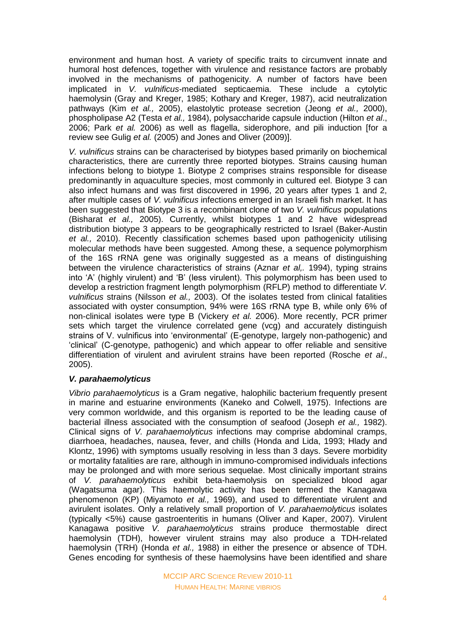environment and human host. A variety of specific traits to circumvent innate and humoral host defences, together with virulence and resistance factors are probably involved in the mechanisms of pathogenicity. A number of factors have been implicated in *V. vulnificus*-mediated septicaemia. These include a cytolytic haemolysin (Gray and Kreger, 1985; Kothary and Kreger, 1987), acid neutralization pathways (Kim *et al.,* 2005), elastolytic protease secretion (Jeong *et al.,* 2000), phospholipase A2 (Testa *et al.,* 1984), polysaccharide capsule induction (Hilton *et al*., 2006; Park *et al.* 2006) as well as flagella, siderophore, and pili induction [for a review see Gulig *et al.* (2005) and Jones and Oliver (2009)].

*V. vulnificus* strains can be characterised by biotypes based primarily on biochemical characteristics, there are currently three reported biotypes. Strains causing human infections belong to biotype 1. Biotype 2 comprises strains responsible for disease predominantly in aquaculture species, most commonly in cultured eel. Biotype 3 can also infect humans and was first discovered in 1996, 20 years after types 1 and 2, after multiple cases of *V. vulnificus* infections emerged in an Israeli fish market. It has been suggested that Biotype 3 is a recombinant clone of two *V. vulnificus* populations (Bisharat *et al.,* 2005). Currently, whilst biotypes 1 and 2 have widespread distribution biotype 3 appears to be geographically restricted to Israel (Baker-Austin *et al.,* 2010). Recently classification schemes based upon pathogenicity utilising molecular methods have been suggested. Among these, a sequence polymorphism of the 16S rRNA gene was originally suggested as a means of distinguishing between the virulence characteristics of strains (Aznar *et al,.* 1994), typing strains into 'A' (highly virulent) and 'B' (less virulent). This polymorphism has been used to develop a restriction fragment length polymorphism (RFLP) method to differentiate *V. vulnificus* strains (Nilsson *et al.,* 2003). Of the isolates tested from clinical fatalities associated with oyster consumption, 94% were 16S rRNA type B, while only 6% of non-clinical isolates were type B (Vickery *et al.* 2006). More recently, PCR primer sets which target the virulence correlated gene (vcg) and accurately distinguish strains of V. vulnificus into 'environmental' (E-genotype, largely non-pathogenic) and 'clinical' (C-genotype, pathogenic) and which appear to offer reliable and sensitive differentiation of virulent and avirulent strains have been reported (Rosche *et al*., 2005).

### *V. parahaemolyticus*

*Vibrio parahaemolyticus* is a Gram negative, halophilic bacterium frequently present in marine and estuarine environments (Kaneko and Colwell, 1975). Infections are very common worldwide, and this organism is reported to be the leading cause of bacterial illness associated with the consumption of seafood (Joseph *et al.,* 1982). Clinical signs of *V. parahaemolyticus* infections may comprise abdominal cramps, diarrhoea, headaches, nausea, fever, and chills (Honda and Lida, 1993; Hlady and Klontz, 1996) with symptoms usually resolving in less than 3 days. Severe morbidity or mortality fatalities are rare, although in immuno-compromised individuals infections may be prolonged and with more serious sequelae. Most clinically important strains of *V. parahaemolyticus* exhibit beta-haemolysis on specialized blood agar (Wagatsuma agar). This haemolytic activity has been termed the Kanagawa phenomenon (KP) (Miyamoto *et al.,* 1969), and used to differentiate virulent and avirulent isolates. Only a relatively small proportion of *V. parahaemolyticus* isolates (typically <5%) cause gastroenteritis in humans (Oliver and Kaper, 2007). Virulent Kanagawa positive *V. parahaemolyticus* strains produce thermostable direct haemolysin (TDH), however virulent strains may also produce a TDH-related haemolysin (TRH) (Honda *et al.,* 1988) in either the presence or absence of TDH. Genes encoding for synthesis of these haemolysins have been identified and share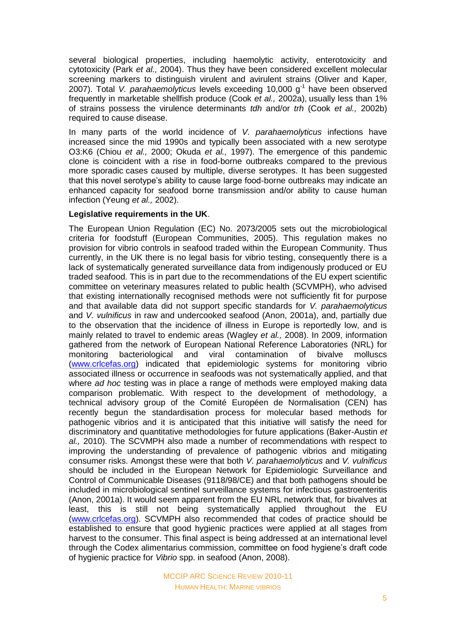several biological properties, including haemolytic activity, enterotoxicity and cytotoxicity (Park *et al.,* 2004). Thus they have been considered excellent molecular screening markers to distinguish virulent and avirulent strains (Oliver and Kaper, 2007). Total V. parahaemolyticus levels exceeding 10,000 g<sup>-1</sup> have been observed frequently in marketable shellfish produce (Cook *et al.,* 2002a), usually less than 1% of strains possess the virulence determinants *tdh* and/or *trh* (Cook *et al.,* 2002b) required to cause disease.

In many parts of the world incidence of *V. parahaemolyticus* infections have increased since the mid 1990s and typically been associated with a new serotype O3:K6 (Chiou *et al.,* 2000; Okuda *et al.,* 1997). The emergence of this pandemic clone is coincident with a rise in food-borne outbreaks compared to the previous more sporadic cases caused by multiple, diverse serotypes. It has been suggested that this novel serotype's ability to cause large food-borne outbreaks may indicate an enhanced capacity for seafood borne transmission and/or ability to cause human infection (Yeung *et al.,* 2002).

## **Legislative requirements in the UK**.

The European Union Regulation (EC) No. 2073/2005 sets out the microbiological criteria for foodstuff (European Communities, 2005). This regulation makes no provision for vibrio controls in seafood traded within the European Community. Thus currently, in the UK there is no legal basis for vibrio testing, consequently there is a lack of systematically generated surveillance data from indigenously produced or EU traded seafood. This is in part due to the recommendations of the EU expert scientific committee on veterinary measures related to public health (SCVMPH), who advised that existing internationally recognised methods were not sufficiently fit for purpose and that available data did not support specific standards for *V. parahaemolyticus* and *V. vulnificus* in raw and undercooked seafood (Anon, 2001a), and, partially due to the observation that the incidence of illness in Europe is reportedly low, and is mainly related to travel to endemic areas (Wagley *et al.,* 2008). In 2009, information gathered from the network of European National Reference Laboratories (NRL) for monitoring bacteriological and viral contamination of bivalve molluscs [\(www.crlcefas.org\)](http://www.crlcefas.org/) indicated that epidemiologic systems for monitoring vibrio associated illness or occurrence in seafoods was not systematically applied, and that where *ad hoc* testing was in place a range of methods were employed making data comparison problematic. With respect to the development of methodology, a technical advisory group of the Comité Européen de Normalisation (CEN) has recently begun the standardisation process for molecular based methods for pathogenic vibrios and it is anticipated that this initiative will satisfy the need for discriminatory and quantitative methodologies for future applications (Baker-Austin *et al.,* 2010). The SCVMPH also made a number of recommendations with respect to improving the understanding of prevalence of pathogenic vibrios and mitigating consumer risks. Amongst these were that both *V. parahaemolyticus* and *V. vulnificus* should be included in the European Network for Epidemiologic Surveillance and Control of Communicable Diseases (9118/98/CE) and that both pathogens should be included in microbiological sentinel surveillance systems for infectious gastroenteritis (Anon, 2001a). It would seem apparent from the EU NRL network that, for bivalves at least, this is still not being systematically applied throughout the EU [\(www.crlcefas.org\)](http://www.crlcefas.org/). SCVMPH also recommended that codes of practice should be established to ensure that good hygienic practices were applied at all stages from harvest to the consumer. This final aspect is being addressed at an international level through the Codex alimentarius commission, committee on food hygiene's draft code of hygienic practice for *Vibrio* spp. in seafood (Anon, 2008).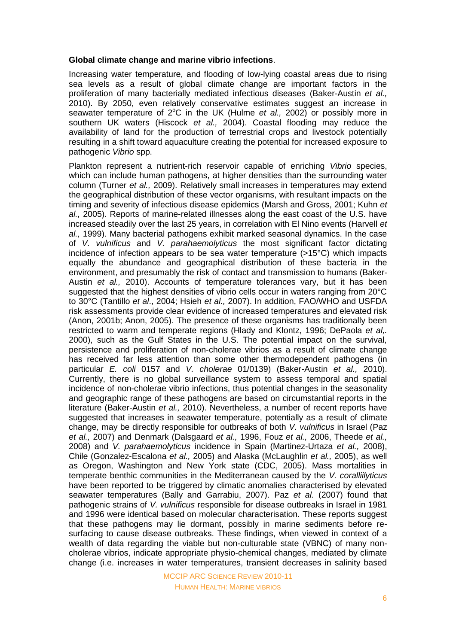### **Global climate change and marine vibrio infections**.

Increasing water temperature, and flooding of low-lying coastal areas due to rising sea levels as a result of global climate change are important factors in the proliferation of many bacterially mediated infectious diseases (Baker-Austin *et al.,*  2010). By 2050, even relatively conservative estimates suggest an increase in seawater temperature of 2°C in the UK (Hulme *et al.,* 2002) or possibly more in southern UK waters (Hiscock *et al.,* 2004). Coastal flooding may reduce the availability of land for the production of terrestrial crops and livestock potentially resulting in a shift toward aquaculture creating the potential for increased exposure to pathogenic *Vibrio* spp.

Plankton represent a nutrient-rich reservoir capable of enriching *Vibrio* species, which can include human pathogens, at higher densities than the surrounding water column (Turner *et al.,* 2009). Relatively small increases in temperatures may extend the geographical distribution of these vector organisms, with resultant impacts on the timing and severity of infectious disease epidemics (Marsh and Gross, 2001; Kuhn *et al.,* 2005). Reports of marine-related illnesses along the east coast of the U.S. have increased steadily over the last 25 years, in correlation with El Nino events (Harvell *et al.,* 1999). Many bacterial pathogens exhibit marked seasonal dynamics. In the case of *V. vulnificus* and *V. parahaemolyticus* the most significant factor dictating incidence of infection appears to be sea water temperature (>15°C) which impacts equally the abundance and geographical distribution of these bacteria in the environment, and presumably the risk of contact and transmission to humans (Baker-Austin *et al.,* 2010). Accounts of temperature tolerances vary, but it has been suggested that the highest densities of vibrio cells occur in waters ranging from 20°C to 30°C (Tantillo *et al*., 2004; Hsieh *et al.,* 2007). In addition, FAO/WHO and USFDA risk assessments provide clear evidence of increased temperatures and elevated risk (Anon, 2001b; Anon, 2005). The presence of these organisms has traditionally been restricted to warm and temperate regions (Hlady and Klontz, 1996; DePaola *et al,.*  2000), such as the Gulf States in the U.S. The potential impact on the survival, persistence and proliferation of non-cholerae vibrios as a result of climate change has received far less attention than some other thermodependent pathogens (in particular *E. coli* 0157 and *V. cholerae* 01/0139) (Baker-Austin *et al.,* 2010). Currently, there is no global surveillance system to assess temporal and spatial incidence of non-cholerae vibrio infections, thus potential changes in the seasonality and geographic range of these pathogens are based on circumstantial reports in the literature (Baker-Austin *et al.,* 2010). Nevertheless, a number of recent reports have suggested that increases in seawater temperature, potentially as a result of climate change, may be directly responsible for outbreaks of both *V. vulnificus* in Israel (Paz *et al.,* 2007) and Denmark (Dalsgaard *et al.,* 1996, Fouz *et al.,* 2006, Theede *et al.,*  2008) and *V. parahaemolyticus* incidence in Spain (Martinez-Urtaza *et al.,* 2008), Chile (Gonzalez-Escalona *et al.,* 2005) and Alaska (McLaughlin *et al.,* 2005), as well as Oregon, Washington and New York state (CDC, 2005). Mass mortalities in temperate benthic communities in the Mediterranean caused by the *V. coralliilyticus* have been reported to be triggered by climatic anomalies characterised by elevated seawater temperatures (Bally and Garrabiu, 2007). Paz *et al.* (2007) found that pathogenic strains of *V. vulnificus* responsible for disease outbreaks in Israel in 1981 and 1996 were identical based on molecular characterisation. These reports suggest that these pathogens may lie dormant, possibly in marine sediments before resurfacing to cause disease outbreaks. These findings, when viewed in context of a wealth of data regarding the viable but non-culturable state (VBNC) of many noncholerae vibrios, indicate appropriate physio-chemical changes, mediated by climate change (i.e. increases in water temperatures, transient decreases in salinity based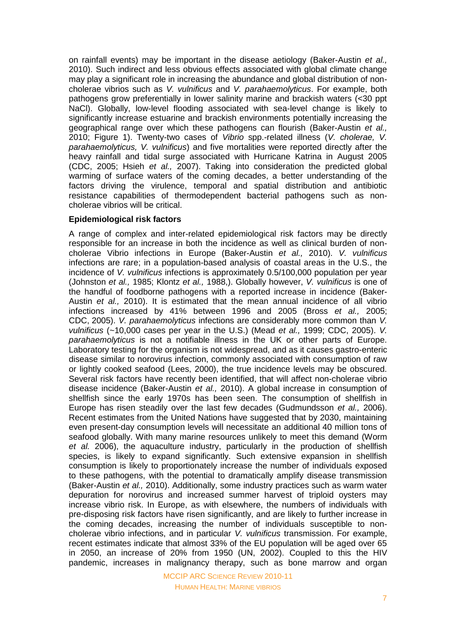on rainfall events) may be important in the disease aetiology (Baker-Austin *et al.,* 2010). Such indirect and less obvious effects associated with global climate change may play a significant role in increasing the abundance and global distribution of noncholerae vibrios such as *V. vulnificus* and *V. parahaemolyticus*. For example, both pathogens grow preferentially in lower salinity marine and brackish waters (<30 ppt NaCl). Globally, low-level flooding associated with sea-level change is likely to significantly increase estuarine and brackish environments potentially increasing the geographical range over which these pathogens can flourish (Baker-Austin *et al.,* 2010; Figure 1). Twenty-two cases of *Vibrio* spp.-related illness (*V. cholerae, V. parahaemolyticus, V. vulnificus*) and five mortalities were reported directly after the heavy rainfall and tidal surge associated with Hurricane Katrina in August 2005 (CDC, 2005; Hsieh *et al.,* 2007). Taking into consideration the predicted global warming of surface waters of the coming decades, a better understanding of the factors driving the virulence, temporal and spatial distribution and antibiotic resistance capabilities of thermodependent bacterial pathogens such as noncholerae vibrios will be critical.

## **Epidemiological risk factors**

A range of complex and inter-related epidemiological risk factors may be directly responsible for an increase in both the incidence as well as clinical burden of noncholerae Vibrio infections in Europe (Baker-Austin *et al.,* 2010). *V. vulnificus* infections are rare; in a population-based analysis of coastal areas in the U.S., the incidence of *V. vulnificus* infections is approximately 0.5/100,000 population per year (Johnston *et al.,* 1985; Klontz *et al.,* 1988,). Globally however, *V. vulnificus* is one of the handful of foodborne pathogens with a reported increase in incidence (Baker-Austin *et al.,* 2010). It is estimated that the mean annual incidence of all vibrio infections increased by 41% between 1996 and 2005 (Bross *et al.,* 2005; CDC, 2005). *V. parahaemolyticus* infections are considerably more common than *V. vulnificus* (~10,000 cases per year in the U.S.) (Mead *et al.,* 1999; CDC, 2005). *V. parahaemolyticus* is not a notifiable illness in the UK or other parts of Europe. Laboratory testing for the organism is not widespread, and as it causes gastro-enteric disease similar to norovirus infection, commonly associated with consumption of raw or lightly cooked seafood (Lees, 2000), the true incidence levels may be obscured. Several risk factors have recently been identified, that will affect non-cholerae vibrio disease incidence (Baker-Austin *et al.,* 2010). A global increase in consumption of shellfish since the early 1970s has been seen. The consumption of shellfish in Europe has risen steadily over the last few decades (Gudmundsson *et al.,* 2006). Recent estimates from the United Nations have suggested that by 2030, maintaining even present-day consumption levels will necessitate an additional 40 million tons of seafood globally. With many marine resources unlikely to meet this demand (Worm *et al.* 2006), the aquaculture industry, particularly in the production of shellfish species, is likely to expand significantly. Such extensive expansion in shellfish consumption is likely to proportionately increase the number of individuals exposed to these pathogens, with the potential to dramatically amplify disease transmission (Baker-Austin *et al.,* 2010). Additionally, some industry practices such as warm water depuration for norovirus and increased summer harvest of triploid oysters may increase vibrio risk. In Europe, as with elsewhere, the numbers of individuals with pre-disposing risk factors have risen significantly, and are likely to further increase in the coming decades, increasing the number of individuals susceptible to noncholerae vibrio infections, and in particular *V. vulnificus* transmission. For example, recent estimates indicate that almost 33% of the EU population will be aged over 65 in 2050, an increase of 20% from 1950 (UN, 2002). Coupled to this the HIV pandemic, increases in malignancy therapy, such as bone marrow and organ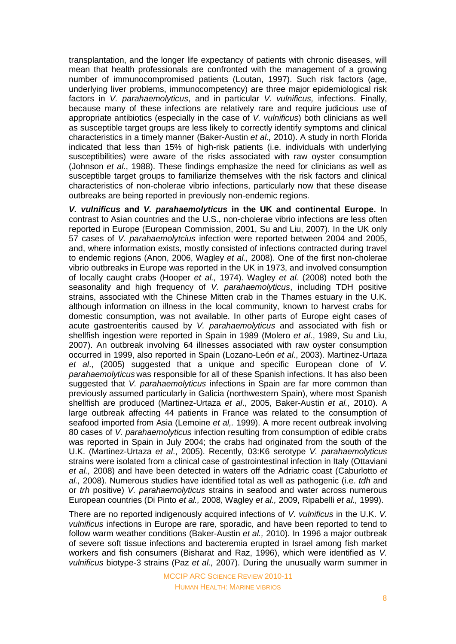transplantation, and the longer life expectancy of patients with chronic diseases, will mean that health professionals are confronted with the management of a growing number of immunocompromised patients (Loutan, 1997). Such risk factors (age, underlying liver problems, immunocompetency) are three major epidemiological risk factors in *V. parahaemolyticus*, and in particular *V. vulnificus,* infections. Finally, because many of these infections are relatively rare and require judicious use of appropriate antibiotics (especially in the case of *V. vulnificus*) both clinicians as well as susceptible target groups are less likely to correctly identify symptoms and clinical characteristics in a timely manner (Baker-Austin *et al.,* 2010). A study in north Florida indicated that less than 15% of high-risk patients (i.e. individuals with underlying susceptibilities) were aware of the risks associated with raw oyster consumption (Johnson *et al.*, 1988). These findings emphasize the need for clinicians as well as susceptible target groups to familiarize themselves with the risk factors and clinical characteristics of non-cholerae vibrio infections, particularly now that these disease outbreaks are being reported in previously non-endemic regions.

*V. vulnificus* **and** *V. parahaemolyticus* **in the UK and continental Europe.** In contrast to Asian countries and the U.S., non-cholerae vibrio infections are less often reported in Europe (European Commission, 2001, Su and Liu, 2007). In the UK only 57 cases of *V. parahaemolytcius* infection were reported between 2004 and 2005, and, where information exists, mostly consisted of infections contracted during travel to endemic regions (Anon, 2006, Wagley *et al.,* 2008). One of the first non-cholerae vibrio outbreaks in Europe was reported in the UK in 1973, and involved consumption of locally caught crabs (Hooper *et al.,* 1974). Wagley *et al.* (2008) noted both the seasonality and high frequency of *V. parahaemolyticus*, including TDH positive strains, associated with the Chinese Mitten crab in the Thames estuary in the U.K. although information on illness in the local community, known to harvest crabs for domestic consumption, was not available. In other parts of Europe eight cases of acute gastroenteritis caused by *V. parahaemolyticus* and associated with fish or shellfish ingestion were reported in Spain in 1989 (Molero *et al*., 1989, Su and Liu, 2007). An outbreak involving 64 illnesses associated with raw oyster consumption occurred in 1999, also reported in Spain (Lozano-León *et al*., 2003). Martinez-Urtaza *et al*., (2005) suggested that a unique and specific European clone of *V. parahaemolyticus* was responsible for all of these Spanish infections. It has also been suggested that *V. parahaemolyticus* infections in Spain are far more common than previously assumed particularly in Galicia (northwestern Spain), where most Spanish shellfish are produced (Martinez-Urtaza *et al*., 2005, Baker-Austin *et al.,* 2010). A large outbreak affecting 44 patients in France was related to the consumption of seafood imported from Asia (Lemoine *et al,.* 1999). A more recent outbreak involving 80 cases of *V. parahaemolyticus* infection resulting from consumption of edible crabs was reported in Spain in July 2004; the crabs had originated from the south of the U.K. (Martinez-Urtaza *et al*., 2005). Recently, 03:K6 serotype *V. parahaemolyticus* strains were isolated from a clinical case of gastrointestinal infection in Italy (Ottaviani *et al.,* 2008) and have been detected in waters off the Adriatric coast (Caburlotto *et al.,* 2008). Numerous studies have identified total as well as pathogenic (i.e. *tdh* and or *trh* positive) *V. parahaemolyticus* strains in seafood and water across numerous European countries (Di Pinto *et al.,* 2008, Wagley *et al.,* 2009, Ripabelli *et al.,* 1999).

There are no reported indigenously acquired infections of *V. vulnificus* in the U.K. *V. vulnificus* infections in Europe are rare, sporadic, and have been reported to tend to follow warm weather conditions (Baker-Austin *et al.,* 2010)*.* In 1996 a major outbreak of severe soft tissue infections and bacteremia erupted in Israel among fish market workers and fish consumers (Bisharat and Raz, 1996), which were identified as *V. vulnificus* biotype-3 strains (Paz *et al.,* 2007). During the unusually warm summer in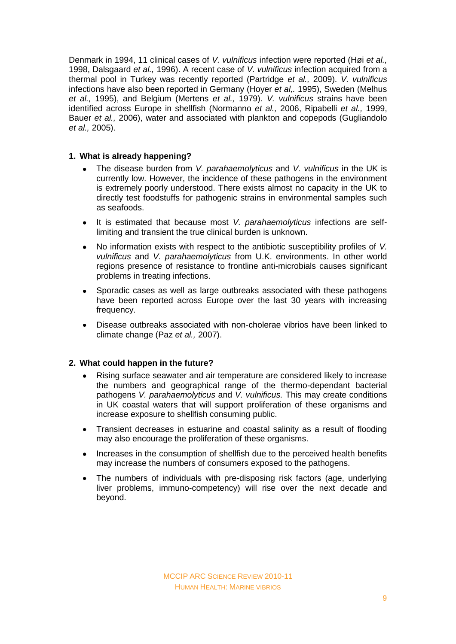Denmark in 1994, 11 clinical cases of *V. vulnificus* infection were reported (Høi *et al.,* 1998, Dalsgaard *et al.,* 1996). A recent case of *V. vulnificus* infection acquired from a thermal pool in Turkey was recently reported (Partridge *et al.,* 2009). *V. vulnificus* infections have also been reported in Germany (Hoyer *et al,.* 1995), Sweden (Melhus *et al.,* 1995), and Belgium (Mertens *et al.,* 1979). *V. vulnificus* strains have been identified across Europe in shellfish (Normanno *et al.,* 2006, Ripabelli *et al.,* 1999, Bauer *et al.,* 2006), water and associated with plankton and copepods (Gugliandolo *et al.,* 2005).

# **1. What is already happening?**

- The disease burden from *V. parahaemolyticus* and *V. vulnificus* in the UK is  $\bullet$ currently low. However, the incidence of these pathogens in the environment is extremely poorly understood. There exists almost no capacity in the UK to directly test foodstuffs for pathogenic strains in environmental samples such as seafoods.
- It is estimated that because most *V. parahaemolyticus* infections are self- $\bullet$ limiting and transient the true clinical burden is unknown.
- No information exists with respect to the antibiotic susceptibility profiles of *V.*   $\bullet$ *vulnificus* and *V. parahaemolyticus* from U.K. environments. In other world regions presence of resistance to frontline anti-microbials causes significant problems in treating infections.
- Sporadic cases as well as large outbreaks associated with these pathogens  $\bullet$ have been reported across Europe over the last 30 years with increasing frequency.
- $\bullet$ Disease outbreaks associated with non-cholerae vibrios have been linked to climate change (Paz *et al.,* 2007).

# **2. What could happen in the future?**

- Rising surface seawater and air temperature are considered likely to increase the numbers and geographical range of the thermo-dependant bacterial pathogens *V. parahaemolyticus* and *V. vulnificus.* This may create conditions in UK coastal waters that will support proliferation of these organisms and increase exposure to shellfish consuming public.
- Transient decreases in estuarine and coastal salinity as a result of flooding  $\bullet$ may also encourage the proliferation of these organisms.
- Increases in the consumption of shellfish due to the perceived health benefits  $\bullet$ may increase the numbers of consumers exposed to the pathogens.
- The numbers of individuals with pre-disposing risk factors (age, underlying liver problems, immuno-competency) will rise over the next decade and beyond.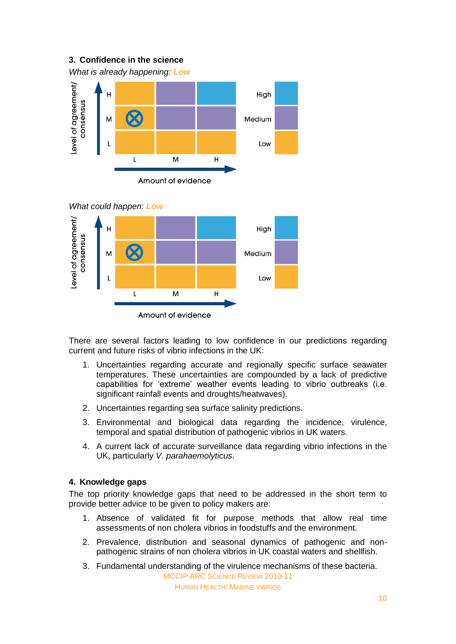# **3. Confidence in the science**





## *What could happen: Low*



There are several factors leading to low confidence in our predictions regarding current and future risks of vibrio infections in the UK:

- 1. Uncertainties regarding accurate and regionally specific surface seawater temperatures. These uncertainties are compounded by a lack of predictive capabilities for 'extreme' weather events leading to vibrio outbreaks (i.e. significant rainfall events and droughts/heatwaves).
- 2. Uncertainties regarding sea surface salinity predictions.
- 3. Environmental and biological data regarding the incidence, virulence, temporal and spatial distribution of pathogenic vibrios in UK waters.
- 4. A current lack of accurate surveillance data regarding vibrio infections in the UK, particularly *V. parahaemolyticus*.

# **4. Knowledge gaps**

The top priority knowledge gaps that need to be addressed in the short term to provide better advice to be given to policy makers are:

- 1. Absence of validated fit for purpose methods that allow real time assessments of non cholera vibrios in foodstuffs and the environment.
- 2. Prevalence, distribution and seasonal dynamics of pathogenic and nonpathogenic strains of non cholera vibrios in UK coastal waters and shellfish.
- 3. Fundamental understanding of the virulence mechanisms of these bacteria.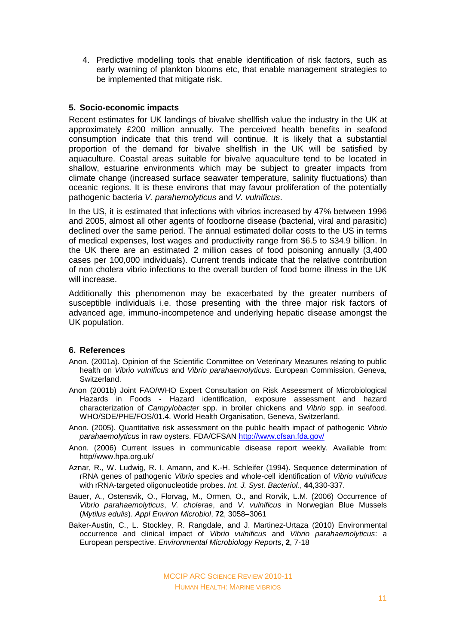4. Predictive modelling tools that enable identification of risk factors, such as early warning of plankton blooms etc, that enable management strategies to be implemented that mitigate risk.

## **5. Socio-economic impacts**

Recent estimates for UK landings of bivalve shellfish value the industry in the UK at approximately £200 million annually. The perceived health benefits in seafood consumption indicate that this trend will continue. It is likely that a substantial proportion of the demand for bivalve shellfish in the UK will be satisfied by aquaculture. Coastal areas suitable for bivalve aquaculture tend to be located in shallow, estuarine environments which may be subject to greater impacts from climate change (increased surface seawater temperature, salinity fluctuations) than oceanic regions. It is these environs that may favour proliferation of the potentially pathogenic bacteria *V. parahemolyticus* and *V. vulnificus*.

In the US, it is estimated that infections with vibrios increased by 47% between 1996 and 2005, almost all other agents of foodborne disease (bacterial, viral and parasitic) declined over the same period. The annual estimated dollar costs to the US in terms of medical expenses, lost wages and productivity range from \$6.5 to \$34.9 billion. In the UK there are an estimated 2 million cases of food poisoning annually (3,400 cases per 100,000 individuals). Current trends indicate that the relative contribution of non cholera vibrio infections to the overall burden of food borne illness in the UK will increase.

Additionally this phenomenon may be exacerbated by the greater numbers of susceptible individuals i.e. those presenting with the three major risk factors of advanced age, immuno-incompetence and underlying hepatic disease amongst the UK population.

# **6. References**

- Anon. (2001a). Opinion of the Scientific Committee on Veterinary Measures relating to public health on *Vibrio vulnificus* and *Vibrio parahaemolyticus.* European Commission, Geneva, Switzerland.
- Anon (2001b) Joint FAO/WHO Expert Consultation on Risk Assessment of Microbiological Hazards in Foods - Hazard identification, exposure assessment and hazard characterization of *Campylobacter* spp. in broiler chickens and *Vibrio* spp. in seafood. WHO/SDE/PHE/FOS/01.4. World Health Organisation, Geneva, Switzerland.
- Anon. (2005). Quantitative risk assessment on the public health impact of pathogenic *Vibrio parahaemolyticus* in raw oysters. FDA/CFSAN http://www.cfsan.fda.gov/
- Anon. (2006) Current issues in communicable disease report weekly. Available from: http//www.hpa.org.uk/
- Aznar, R., W. Ludwig, R. I. Amann, and K.-H. Schleifer (1994). Sequence determination of rRNA genes of pathogenic *Vibrio* species and whole-cell identification of *Vibrio vulnificus* with rRNA-targeted oligonucleotide probes. *Int. J. Syst. Bacteriol.*, **44**,330-337.
- Bauer, A., Ostensvik, O., Florvag, M., Ormen, O., and Rorvik, L.M. (2006) Occurrence of *Vibrio parahaemolyticus*, *V. cholerae*, and *V. vulnificus* in Norwegian Blue Mussels (*Mytilus edulis*). *Appl Environ Microbiol*, **72**, 3058–3061
- Baker-Austin, C., L. Stockley, R. Rangdale, and J. Martinez-Urtaza (2010) Environmental occurrence and clinical impact of *Vibrio vulnificus* and *Vibrio parahaemolyticus*: a European perspective. *Environmental Microbiology Reports*, **2**, 7-18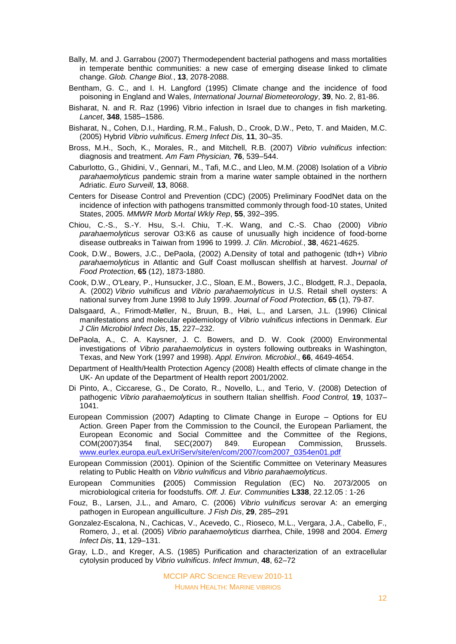- Bally, M. and J. Garrabou (2007) Thermodependent bacterial pathogens and mass mortalities in temperate benthic communities: a new case of emerging disease linked to climate change. *Glob. Change Biol.*, **13**, 2078-2088.
- Bentham, G. C., and I. H. Langford (1995) Climate change and the incidence of food poisoning in England and Wales, *International Journal Biometeorology*, **39**, No. 2, 81-86.
- Bisharat, N. and R. Raz (1996) Vibrio infection in Israel due to changes in fish marketing. *Lancet*, **348**, 1585–1586.
- Bisharat, N., Cohen, D.I., Harding, R.M., Falush, D., Crook, D.W., Peto, T. and Maiden, M.C. (2005) Hybrid *Vibrio vulnificus*. *Emerg Infect Dis,* **11**, 30–35.
- Bross, M.H., Soch, K., Morales, R., and Mitchell, R.B. (2007) *Vibrio vulnificus* infection: diagnosis and treatment. *Am Fam Physician,* **76**, 539–544.
- Caburlotto, G., Ghidini, V., Gennari, M., Tafi, M.C., and Lleo, M.M. (2008) Isolation of a *Vibrio parahaemolyticus* pandemic strain from a marine water sample obtained in the northern Adriatic. *Euro Surveill,* **13**, 8068.
- Centers for Disease Control and Prevention (CDC) (2005) Preliminary FoodNet data on the incidence of infection with pathogens transmitted commonly through food-10 states, United States, 2005. *MMWR Morb Mortal Wkly Rep*, **55**, 392–395.
- Chiou, C.-S., S.-Y. Hsu, S.-I. Chiu, T.-K. Wang, and C.-S. Chao (2000) *Vibrio parahaemolyticus* serovar O3:K6 as cause of unusually high incidence of food-borne disease outbreaks in Taiwan from 1996 to 1999. *J. Clin. Microbiol.*, **38**, 4621-4625.
- Cook, D.W., Bowers, J.C., DePaola, (2002) A.Density of total and pathogenic (tdh+) *Vibrio parahaemolyticus* in Atlantic and Gulf Coast molluscan shellfish at harvest. *Journal of Food Protection*, **65** (12), 1873-1880.
- Cook, D.W., O'Leary, P., Hunsucker, J.C., Sloan, E.M., Bowers, J.C., Blodgett, R.J., Depaola, A. (2002) *Vibrio vulnificus* and *Vibrio parahaemolyticus* in U.S. Retail shell oysters: A national survey from June 1998 to July 1999. *Journal of Food Protection*, **65** (1), 79-87.
- Dalsgaard, A., Frimodt-Møller, N., Bruun, B., Høi, L., and Larsen, J.L. (1996) Clinical manifestations and molecular epidemiology of *Vibrio vulnificus* infections in Denmark. *Eur J Clin Microbiol Infect Dis*, **15**, 227–232.
- DePaola, A., C. A. Kaysner, J. C. Bowers, and D. W. Cook (2000) Environmental investigations of *Vibrio parahaemolyticus* in oysters following outbreaks in Washington, Texas, and New York (1997 and 1998). *Appl. Environ. Microbiol*., **66**, 4649-4654.
- Department of Health/Health Protection Agency (2008) Health effects of climate change in the UK- An update of the Department of Health report 2001/2002.
- Di Pinto, A., Ciccarese, G., De Corato, R., Novello, L., and Terio, V. (2008) Detection of pathogenic *Vibrio parahaemolyticus* in southern Italian shellfish. *Food Control,* **19**, 1037– 1041.
- European Commission (2007) Adapting to Climate Change in Europe Options for EU Action. Green Paper from the Commission to the Council, the European Parliament, the European Economic and Social Committee and the Committee of the Regions, COM(2007)354 final, SEC(2007) 849. European Commission, Brussels. [www.eurlex.europa.eu/LexUriServ/site/en/com/2007/com2007\\_0354en01.pdf](http://www.eurlex.europa.eu/LexUriServ/site/en/com/2007/com2007_0354en01.pdf)
- European Commission (2001). Opinion of the Scientific Committee on Veterinary Measures relating to Public Health on *Vibrio vulnificus* and *Vibrio parahaemolyticus*.
- European Communities **(**2005) Commission Regulation (EC) No. 2073/2005 on microbiological criteria for foodstuffs. *Off. J. Eur. Communities* **L338**, 22.12.05 : 1-26
- Fouz, B., Larsen, J.L., and Amaro, C. (2006) *Vibrio vulnificus* serovar A: an emerging pathogen in European anguilliculture. *J Fish Dis*, **29**, 285–291
- Gonzalez-Escalona, N., Cachicas, V., Acevedo, C., Rioseco, M.L., Vergara, J.A., Cabello, F., Romero, J., et al. (2005) *Vibrio parahaemolyticus* diarrhea, Chile, 1998 and 2004. *Emerg Infect Dis*, **11**, 129–131.
- Gray, L.D., and Kreger, A.S. (1985) Purification and characterization of an extracellular cytolysin produced by *Vibrio vulnificus*. *Infect Immun*, **48**, 62–72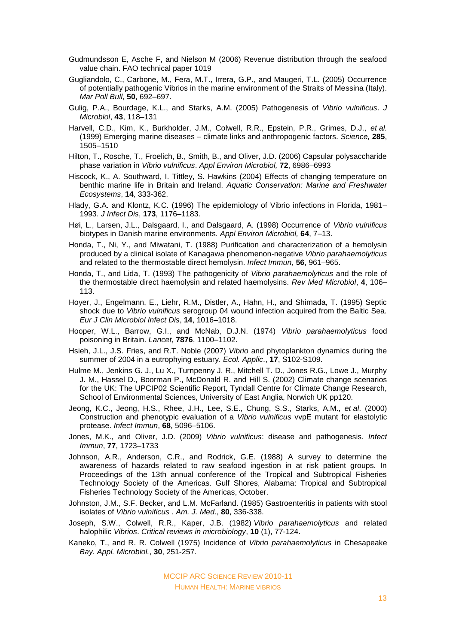- Gudmundsson E, Asche F, and Nielson M (2006) Revenue distribution through the seafood value chain. FAO technical paper 1019
- Gugliandolo, C., Carbone, M., Fera, M.T., Irrera, G.P., and Maugeri, T.L. (2005) Occurrence of potentially pathogenic Vibrios in the marine environment of the Straits of Messina (Italy). *Mar Poll Bull*, **50**, 692–697.
- Gulig, P.A., Bourdage, K.L., and Starks, A.M. (2005) Pathogenesis of *Vibrio vulnificus*. *J Microbiol*, **43**, 118–131
- Harvell, C.D., Kim, K., Burkholder, J.M., Colwell, R.R., Epstein, P.R., Grimes, D.J., *et al.* (1999) Emerging marine diseases – climate links and anthropogenic factors. *Science,* **285**, 1505–1510
- Hilton, T., Rosche, T., Froelich, B., Smith, B., and Oliver, J.D. (2006) Capsular polysaccharide phase variation in *Vibrio vulnificus*. *Appl Environ Microbiol,* **72**, 6986–6993
- Hiscock, K., A. Southward, I. Tittley, S. Hawkins (2004) Effects of changing temperature on benthic marine life in Britain and Ireland. *Aquatic Conservation: Marine and Freshwater Ecosystems*, **14**, 333-362.
- Hlady, G.A. and Klontz, K.C. (1996) The epidemiology of Vibrio infections in Florida, 1981– 1993. *J Infect Dis*, **173**, 1176–1183.
- Høi, L., Larsen, J.L., Dalsgaard, I., and Dalsgaard, A. (1998) Occurrence of *Vibrio vulnificus* biotypes in Danish marine environments. *Appl Environ Microbiol,* **64**, 7–13.
- Honda, T., Ni, Y., and Miwatani, T. (1988) Purification and characterization of a hemolysin produced by a clinical isolate of Kanagawa phenomenon-negative *Vibrio parahaemolyticus* and related to the thermostable direct hemolysin. *Infect Immun*, **56**, 961–965.
- Honda, T., and Lida, T. (1993) The pathogenicity of *Vibrio parahaemolyticus* and the role of the thermostable direct haemolysin and related haemolysins. *Rev Med Microbiol*, **4**, 106– 113.
- Hoyer, J., Engelmann, E., Liehr, R.M., Distler, A., Hahn, H., and Shimada, T. (1995) Septic shock due to *Vibrio vulnificus* serogroup 04 wound infection acquired from the Baltic Sea. *Eur J Clin Microbiol Infect Dis*, **14**, 1016–1018.
- Hooper, W.L., Barrow, G.I., and McNab, D.J.N. (1974) *Vibrio parahaemolyticus* food poisoning in Britain. *Lancet*, **7876**, 1100–1102.
- Hsieh, J.L., J.S. Fries, and R.T. Noble (2007) *Vibrio* and phytoplankton dynamics during the summer of 2004 in a eutrophying estuary. *Ecol. Applic*., **17**, S102-S109.
- Hulme M., Jenkins G. J., Lu X., Turnpenny J. R., Mitchell T. D., Jones R.G., Lowe J., Murphy J. M., Hassel D., Boorman P., McDonald R. and Hill S. (2002) Climate change scenarios for the UK: The UPCIP02 Scientific Report, Tyndall Centre for Climate Change Research, School of Environmental Sciences, University of East Anglia, Norwich UK pp120.
- Jeong, K.C., Jeong, H.S., Rhee, J.H., Lee, S.E., Chung, S.S., Starks, A.M., *et al*. (2000) Construction and phenotypic evaluation of a *Vibrio vulnificus* vvpE mutant for elastolytic protease. *Infect Immun*, **68**, 5096–5106.
- Jones, M.K., and Oliver, J.D. (2009) *Vibrio vulnificus*: disease and pathogenesis. *Infect Immun*, **77**, 1723–1733
- Johnson, A.R., Anderson, C.R., and Rodrick, G.E. (1988) A survey to determine the awareness of hazards related to raw seafood ingestion in at risk patient groups. In Proceedings of the 13th annual conference of the Tropical and Subtropical Fisheries Technology Society of the Americas. Gulf Shores, Alabama: Tropical and Subtropical Fisheries Technology Society of the Americas, October.
- Johnston, J.M., S.F. Becker, and L.M. McFarland. (1985) Gastroenteritis in patients with stool isolates of *Vibrio vulnificus* . *Am. J. Med*., **80**, 336-338.
- Joseph, S.W., Colwell, R.R., Kaper, J.B. (1982) *Vibrio parahaemolyticus* and related halophilic *Vibrios*. *Critical reviews in microbiology*, **10** (1), 77-124.
- Kaneko, T., and R. R. Colwell (1975) Incidence of *Vibrio parahaemolyticus* in Chesapeake *Bay. Appl. Microbiol.*, **30**, 251-257.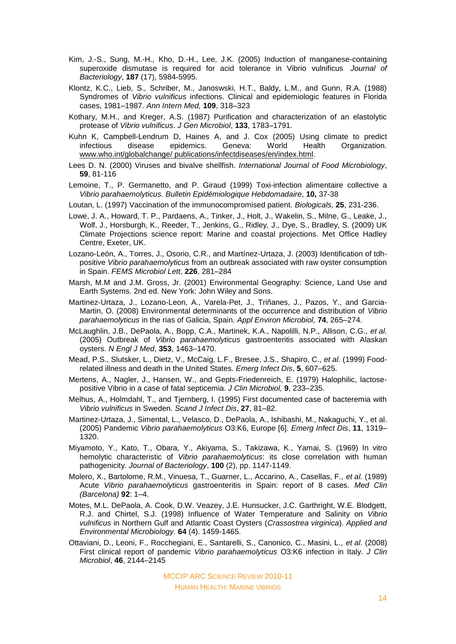- Kim, J.-S., Sung, M.-H., Kho, D.-H., Lee, J.K. (2005) Induction of manganese-containing superoxide dismutase is required for acid tolerance in Vibrio vulnificus *Journal of Bacteriology*, **187** (17), 5984-5995.
- Klontz, K.C., Lieb, S., Schriber, M., Janoswski, H.T., Baldy, L.M., and Gunn, R.A. (1988) Syndromes of *Vibrio vulnificus* infections. Clinical and epidemiologic features in Florida cases, 1981–1987. *Ann Intern Med,* **109**, 318–323
- Kothary, M.H., and Kreger, A.S. (1987) Purification and characterization of an elastolytic protease of *Vibrio vulnificus*. *J Gen Microbiol*, **133**, 1783–1791.
- Kuhn K, Campbell-Lendrum D, Haines A, and J. Cox (2005) Using climate to predict infectious disease epidemics. Geneva: World Health Organization. [www.who.int/globalchange/ publications/infectdiseases/en/index.html.](http://www.who.int/globalchange/%20publications/infectdiseases/en/index.html)
- Lees D. N. (2000) Viruses and bivalve shellfish. *International Journal of Food Microbiology*, **59**, 81-116
- Lemoine, T., P. Germanetto, and P. Giraud (1999) Toxi-infection alimentaire collective a *Vibrio parahaemolyticus. Bulletin Epidémiologique Hebdomadaire*, **10,** 37-38
- Loutan, L. (1997) Vaccination of the immunocompromised patient. *Biologicals,* **25**, 231-236.
- Lowe, J. A., Howard, T. P., Pardaens, A., Tinker, J., Holt, J., Wakelin, S., Milne, G., Leake, J., Wolf, J., Horsburgh, K., Reeder, T., Jenkins, G., Ridley, J., Dye, S., Bradley, S. (2009) UK Climate Projections science report: Marine and coastal projections. Met Office Hadley Centre, Exeter, UK.
- Lozano-León, A., Torres, J., Osorio, C.R., and Martínez-Urtaza, J. (2003) Identification of tdhpositive *Vibrio parahaemolyticus* from an outbreak associated with raw oyster consumption in Spain. *FEMS Microbiol Lett*, **226**, 281–284
- Marsh, M.M and J.M. Gross, Jr. (2001) Environmental Geography: Science, Land Use and Earth Systems. 2nd ed. New York: John Wiley and Sons.
- Martinez-Urtaza, J., Lozano-Leon, A., Varela-Pet, J., Triñanes, J., Pazos, Y., and Garcia-Martin, O. (2008) Environmental determinants of the occurrence and distribution of *Vibrio parahaemolyticus* in the rias of Galicia, Spain. *Appl Environ Microbiol,* **74**, 265–274.
- McLaughlin, J.B., DePaola, A., Bopp, C.A., Martinek, K.A., Napolilli, N.P., Allison, C.G., *et al.* (2005) Outbreak of *Vibrio parahaemolyticus* gastroenteritis associated with Alaskan oysters. *N Engl J Med*, **353**, 1463–1470.
- Mead, P.S., Slutsker, L., Dietz, V., McCaig, L.F., Bresee, J.S., Shapiro, C., *et al.* (1999) Foodrelated illness and death in the United States. *Emerg Infect Dis*, **5**, 607–625.
- Mertens, A., Nagler, J., Hansen, W., and Gepts-Friedenreich, E. (1979) Halophilic, lactosepositive Vibrio in a case of fatal septicemia. *J Clin Microbiol,* **9**, 233–235.
- Melhus, A., Holmdahl, T., and Tiernberg, I. (1995) First documented case of bacteremia with *Vibrio vulnificus* in Sweden. *Scand J Infect Dis*, **27**, 81–82.
- Martinez-Urtaza, J., Simental, L., Velasco, D., DePaola, A., Ishibashi, M., Nakaguchi, Y., et al. (2005) Pandemic *Vibrio parahaemolyticus* O3:K6, Europe [6]. *Emerg Infect Dis*, **11**, 1319– 1320.
- Miyamoto, Y., Kato, T., Obara, Y., Akiyama, S., Takizawa, K., Yamai, S. (1969) In vitro hemolytic characteristic of *Vibrio parahaemolyticus*: its close correlation with human pathogenicity. *Journal of Bacteriology*, **100** (2), pp. 1147-1149.
- Molero, X., Bartolome, R.M., Vinuesa, T., Guarner, L., Accarino, A., Casellas, F., *et al.* (1989) Acute *Vibrio parahaemolyticus* gastroenteritis in Spain: report of 8 cases. *Med Clin (Barcelona)* **92**: 1–4.
- Motes, M.L. DePaola, A. Cook, D.W. Veazey, J.E. Hunsucker, J.C. Garthright, W.E. Blodgett, R.J. and Chirtel, S.J. (1998) Influence of Water Temperature and Salinity on *Vibrio vulnificus* in Northern Gulf and Atlantic Coast Oysters (*Crassostrea virginica*). *Applied and Environmental Microbiology.* **64** (4). 1459-1465.
- Ottaviani, D., Leoni, F., Rocchegiani, E., Santarelli, S., Canonico, C., Masini, L., *et al*. (2008) First clinical report of pandemic *Vibrio parahaemolyticus* O3:K6 infection in Italy. *J Clin Microbiol*, **46**, 2144–2145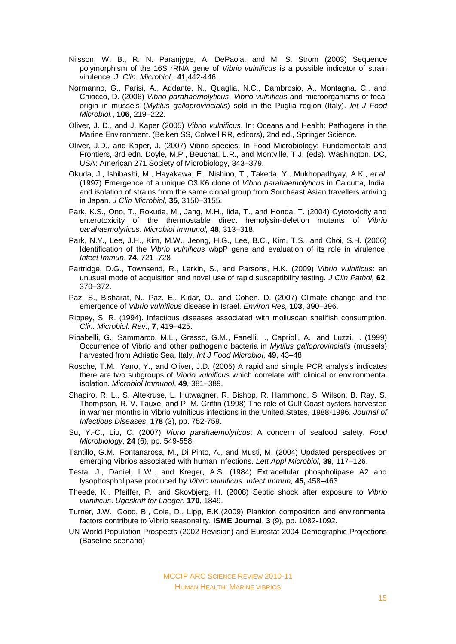- Nilsson, W. B., R. N. Paranjype, A. DePaola, and M. S. Strom (2003) Sequence polymorphism of the 16S rRNA gene of *Vibrio vulnificus* is a possible indicator of strain virulence. *J. Clin. Microbiol.*, **41**,442-446.
- Normanno, G., Parisi, A., Addante, N., Quaglia, N.C., Dambrosio, A., Montagna, C., and Chiocco, D. (2006) *Vibrio parahaemolyticus*, *Vibrio vulnificus* and microorganisms of fecal origin in mussels (*Mytilus galloprovincialis*) sold in the Puglia region (Italy). *Int J Food Microbiol.*, **106**, 219–222.
- Oliver, J. D., and J. Kaper (2005) *Vibrio vulnificus*. In: Oceans and Health: Pathogens in the Marine Environment. (Belken SS, Colwell RR, editors), 2nd ed., Springer Science.
- Oliver, J.D., and Kaper, J. (2007) Vibrio species. In Food Microbiology: Fundamentals and Frontiers, 3rd edn. Doyle, M.P., Beuchat, L.R., and Montville, T.J. (eds). Washington, DC, USA: American 271 Society of Microbiology, 343–379.
- Okuda, J., Ishibashi, M., Hayakawa, E., Nishino, T., Takeda, Y., Mukhopadhyay, A.K., *et al*. (1997) Emergence of a unique O3:K6 clone of *Vibrio parahaemolyticus* in Calcutta, India, and isolation of strains from the same clonal group from Southeast Asian travellers arriving in Japan. *J Clin Microbiol*, **35**, 3150–3155.
- Park, K.S., Ono, T., Rokuda, M., Jang, M.H., Iida, T., and Honda, T. (2004) Cytotoxicity and enterotoxicity of the thermostable direct hemolysin-deletion mutants of *Vibrio parahaemolyticus*. *Microbiol Immunol,* **48**, 313–318.
- Park, N.Y., Lee, J.H., Kim, M.W., Jeong, H.G., Lee, B.C., Kim, T.S., and Choi, S.H. (2006) Identification of the *Vibrio vulnificus* wbpP gene and evaluation of its role in virulence. *Infect Immun*, **74**, 721–728
- Partridge, D.G., Townsend, R., Larkin, S., and Parsons, H.K. (2009) *Vibrio vulnificus*: an unusual mode of acquisition and novel use of rapid susceptibility testing. *J Clin Pathol,* **62**, 370–372.
- Paz, S., Bisharat, N., Paz, E., Kidar, O., and Cohen, D. (2007) Climate change and the emergence of *Vibrio vulnificus* disease in Israel. *Environ Res,* **103**, 390–396.
- Rippey, S. R. (1994). Infectious diseases associated with molluscan shellfish consumption. *Clin. Microbiol. Rev.*, **7**, 419–425.
- Ripabelli, G., Sammarco, M.L., Grasso, G.M., Fanelli, I., Caprioli, A., and Luzzi, I. (1999) Occurrence of Vibrio and other pathogenic bacteria in *Mytilus galloprovincialis* (mussels) harvested from Adriatic Sea, Italy. *Int J Food Microbiol,* **49**, 43–48
- Rosche, T.M., Yano, Y., and Oliver, J.D. (2005) A rapid and simple PCR analysis indicates there are two subgroups of *Vibrio vulnificus* which correlate with clinical or environmental isolation. *Microbiol Immunol*, **49**, 381–389.
- Shapiro, R. L., S. Altekruse, L. Hutwagner, R. Bishop, R. Hammond, S. Wilson, B. Ray, S. Thompson, R. V. Tauxe, and P. M. Griffin (1998) The role of Gulf Coast oysters harvested in warmer months in Vibrio vulnificus infections in the United States, 1988-1996. *Journal of Infectious Diseases*, **178** (3), pp. 752-759.
- Su, Y.-C., Liu, C. (2007) *Vibrio parahaemolyticus*: A concern of seafood safety. *Food Microbiology*, **24** (6), pp. 549-558.
- Tantillo, G.M., Fontanarosa, M., Di Pinto, A., and Musti, M. (2004) Updated perspectives on emerging Vibrios associated with human infections. *Lett Appl Microbiol,* **39**, 117–126.
- Testa, J., Daniel, L.W., and Kreger, A.S. (1984) Extracellular phospholipase A2 and lysophospholipase produced by *Vibrio vulnificus*. *Infect Immun,* **45,** 458–463
- Theede, K., Pfeiffer, P., and Skovbjerg, H. (2008) Septic shock after exposure to *Vibrio vulnificus*. *Ugeskrift for Laeger*, **170**, 1849.
- Turner, J.W., Good, B., Cole, D., Lipp, E.K.(2009) Plankton composition and environmental factors contribute to Vibrio seasonality. **ISME Journal**, **3** (9), pp. 1082-1092.
- UN World Population Prospects (2002 Revision) and Eurostat 2004 Demographic Projections (Baseline scenario)